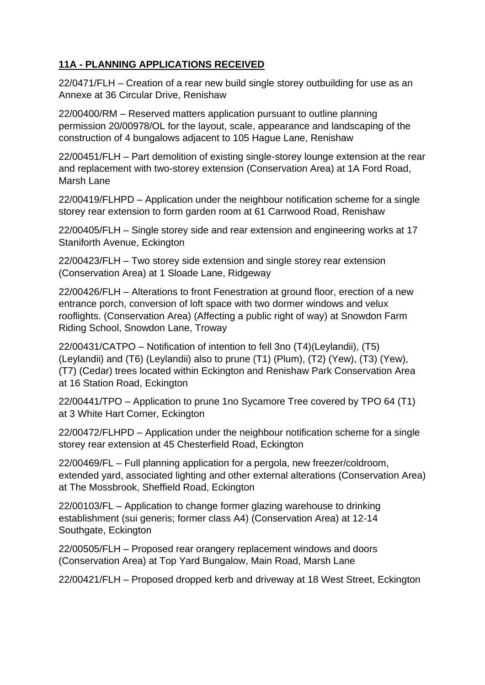## **11A - PLANNING APPLICATIONS RECEIVED**

22/0471/FLH – Creation of a rear new build single storey outbuilding for use as an Annexe at 36 Circular Drive, Renishaw

22/00400/RM – Reserved matters application pursuant to outline planning permission 20/00978/OL for the layout, scale, appearance and landscaping of the construction of 4 bungalows adjacent to 105 Hague Lane, Renishaw

22/00451/FLH – Part demolition of existing single-storey lounge extension at the rear and replacement with two-storey extension (Conservation Area) at 1A Ford Road, Marsh Lane

22/00419/FLHPD – Application under the neighbour notification scheme for a single storey rear extension to form garden room at 61 Carrwood Road, Renishaw

22/00405/FLH – Single storey side and rear extension and engineering works at 17 Staniforth Avenue, Eckington

22/00423/FLH – Two storey side extension and single storey rear extension (Conservation Area) at 1 Sloade Lane, Ridgeway

22/00426/FLH – Alterations to front Fenestration at ground floor, erection of a new entrance porch, conversion of loft space with two dormer windows and velux rooflights. (Conservation Area) (Affecting a public right of way) at Snowdon Farm Riding School, Snowdon Lane, Troway

22/00431/CATPO – Notification of intention to fell 3no (T4)(Leylandii), (T5) (Leylandii) and (T6) (Leylandii) also to prune (T1) (Plum), (T2) (Yew), (T3) (Yew), (T7) (Cedar) trees located within Eckington and Renishaw Park Conservation Area at 16 Station Road, Eckington

22/00441/TPO – Application to prune 1no Sycamore Tree covered by TPO 64 (T1) at 3 White Hart Corner, Eckington

22/00472/FLHPD – Application under the neighbour notification scheme for a single storey rear extension at 45 Chesterfield Road, Eckington

22/00469/FL – Full planning application for a pergola, new freezer/coldroom, extended yard, associated lighting and other external alterations (Conservation Area) at The Mossbrook, Sheffield Road, Eckington

22/00103/FL – Application to change former glazing warehouse to drinking establishment (sui generis; former class A4) (Conservation Area) at 12-14 Southgate, Eckington

22/00505/FLH – Proposed rear orangery replacement windows and doors (Conservation Area) at Top Yard Bungalow, Main Road, Marsh Lane

22/00421/FLH – Proposed dropped kerb and driveway at 18 West Street, Eckington